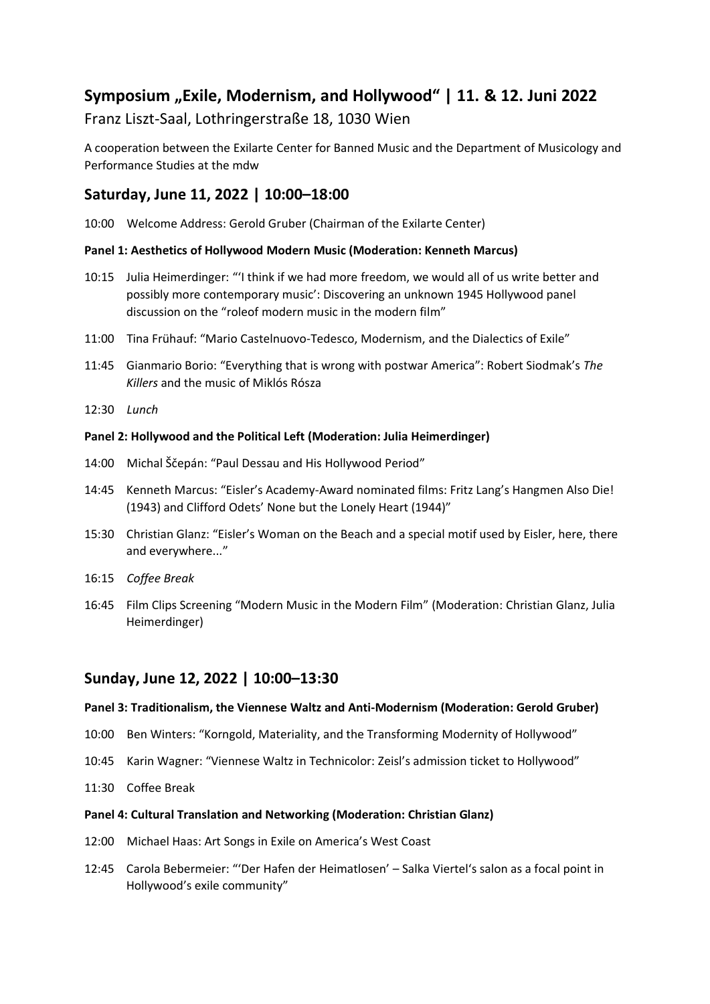## **Symposium "Exile, Modernism, and Hollywood" | 11. & 12. Juni 2022**

### Franz Liszt-Saal, Lothringerstraße 18, 1030 Wien

A cooperation between the Exilarte Center for Banned Music and the Department of Musicology and Performance Studies at the mdw

### **Saturday, June 11, 2022 | 10:00–18:00**

10:00 Welcome Address: Gerold Gruber (Chairman of the Exilarte Center)

#### **Panel 1: Aesthetics of Hollywood Modern Music (Moderation: Kenneth Marcus)**

- 10:15 Julia Heimerdinger: "'I think if we had more freedom, we would all of us write better and possibly more contemporary music': Discovering an unknown 1945 Hollywood panel discussion on the "roleof modern music in the modern film"
- 11:00 Tina Frühauf: "Mario Castelnuovo-Tedesco, Modernism, and the Dialectics of Exile"
- 11:45 Gianmario Borio: "Everything that is wrong with postwar America": Robert Siodmak's *The Killers* and the music of Miklós Rósza
- 12:30 *Lunch*

#### **Panel 2: Hollywood and the Political Left (Moderation: Julia Heimerdinger)**

- 14:00 Michal Ščepán: "Paul Dessau and His Hollywood Period"
- 14:45 Kenneth Marcus: "Eisler's Academy-Award nominated films: Fritz Lang's Hangmen Also Die! (1943) and Clifford Odets' None but the Lonely Heart (1944)"
- 15:30 Christian Glanz: "Eisler's Woman on the Beach and a special motif used by Eisler, here, there and everywhere..."
- 16:15 *Coffee Break*
- 16:45 Film Clips Screening "Modern Music in the Modern Film" (Moderation: Christian Glanz, Julia Heimerdinger)

### **Sunday, June 12, 2022 | 10:00–13:30**

#### **Panel 3: Traditionalism, the Viennese Waltz and Anti-Modernism (Moderation: Gerold Gruber)**

- 10:00 Ben Winters: "Korngold, Materiality, and the Transforming Modernity of Hollywood"
- 10:45 Karin Wagner: "Viennese Waltz in Technicolor: Zeisl's admission ticket to Hollywood"
- 11:30 Coffee Break

#### **Panel 4: Cultural Translation and Networking (Moderation: Christian Glanz)**

- 12:00 Michael Haas: Art Songs in Exile on America's West Coast
- 12:45 Carola Bebermeier: "'Der Hafen der Heimatlosen' Salka Viertel's salon as a focal point in Hollywood's exile community"